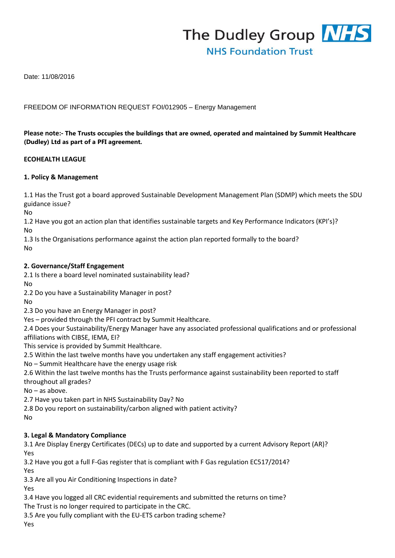

Date: 11/08/2016

### FREEDOM OF INFORMATION REQUEST FOI/012905 – Energy Management

### **Please note:- The Trusts occupies the buildings that are owned, operated and maintained by Summit Healthcare (Dudley) Ltd as part of a PFI agreement.**

#### **ECOHEALTH LEAGUE**

#### **1. Policy & Management**

1.1 Has the Trust got a board approved Sustainable Development Management Plan (SDMP) which meets the SDU guidance issue?

No

1.2 Have you got an action plan that identifies sustainable targets and Key Performance Indicators (KPI's)? No

1.3 Is the Organisations performance against the action plan reported formally to the board? No

#### **2. Governance/Staff Engagement**

2.1 Is there a board level nominated sustainability lead?

No

2.2 Do you have a Sustainability Manager in post?

No

2.3 Do you have an Energy Manager in post?

Yes – provided through the PFI contract by Summit Healthcare.

2.4 Does your Sustainability/Energy Manager have any associated professional qualifications and or professional affiliations with CIBSE, IEMA, EI?

This service is provided by Summit Healthcare.

2.5 Within the last twelve months have you undertaken any staff engagement activities?

No – Summit Healthcare have the energy usage risk

2.6 Within the last twelve months has the Trusts performance against sustainability been reported to staff throughout all grades?

No – as above.

2.7 Have you taken part in NHS Sustainability Day? No

2.8 Do you report on sustainability/carbon aligned with patient activity?

No

### **3. Legal & Mandatory Compliance**

3.1 Are Display Energy Certificates (DECs) up to date and supported by a current Advisory Report (AR)? Yes

3.2 Have you got a full F-Gas register that is compliant with F Gas regulation EC517/2014?

Yes

3.3 Are all you Air Conditioning Inspections in date?

Yes

3.4 Have you logged all CRC evidential requirements and submitted the returns on time?

The Trust is no longer required to participate in the CRC.

3.5 Are you fully compliant with the EU-ETS carbon trading scheme?

Yes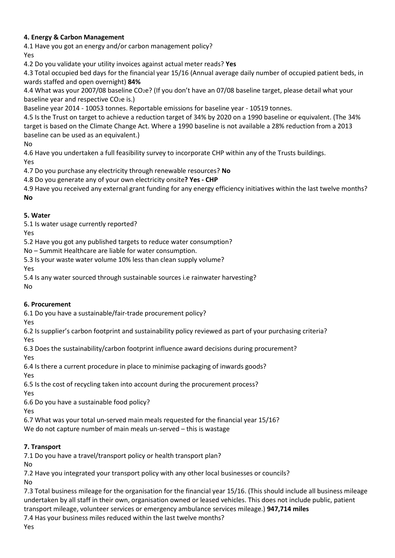# **4. Energy & Carbon Management**

4.1 Have you got an energy and/or carbon management policy? Yes

4.2 Do you validate your utility invoices against actual meter reads? **Yes** 

4.3 Total occupied bed days for the financial year 15/16 (Annual average daily number of occupied patient beds, in wards staffed and open overnight) **84%** 

4.4 What was your 2007/08 baseline CO2e? (If you don't have an 07/08 baseline target, please detail what your baseline year and respective CO<sub>2</sub>e is.)

Baseline year 2014 - 10053 tonnes. Reportable emissions for baseline year - 10519 tonnes.

4.5 Is the Trust on target to achieve a reduction target of 34% by 2020 on a 1990 baseline or equivalent. (The 34% target is based on the Climate Change Act. Where a 1990 baseline is not available a 28% reduction from a 2013 baseline can be used as an equivalent.)

No

4.6 Have you undertaken a full feasibility survey to incorporate CHP within any of the Trusts buildings. Yes

4.7 Do you purchase any electricity through renewable resources? **No** 

4.8 Do you generate any of your own electricity onsite**? Yes - CHP** 

4.9 Have you received any external grant funding for any energy efficiency initiatives within the last twelve months? **No** 

# **5. Water**

5.1 Is water usage currently reported?

Yes

5.2 Have you got any published targets to reduce water consumption?

No – Summit Healthcare are liable for water consumption.

5.3 Is your waste water volume 10% less than clean supply volume?

Yes

5.4 Is any water sourced through sustainable sources i.e rainwater harvesting?

No

# **6. Procurement**

6.1 Do you have a sustainable/fair-trade procurement policy?

Yes 6.2 Is supplier's carbon footprint and sustainability policy reviewed as part of your purchasing criteria?

Yes

6.3 Does the sustainability/carbon footprint influence award decisions during procurement?

Yes

6.4 Is there a current procedure in place to minimise packaging of inwards goods?

Yes

6.5 Is the cost of recycling taken into account during the procurement process?

Yes

6.6 Do you have a sustainable food policy?

Yes

6.7 What was your total un-served main meals requested for the financial year 15/16?

We do not capture number of main meals un-served – this is wastage

# **7. Transport**

7.1 Do you have a travel/transport policy or health transport plan?

No

7.2 Have you integrated your transport policy with any other local businesses or councils?

No

7.3 Total business mileage for the organisation for the financial year 15/16. (This should include all business mileage undertaken by all staff in their own, organisation owned or leased vehicles. This does not include public, patient transport mileage, volunteer services or emergency ambulance services mileage.) **947,714 miles** 

7.4 Has your business miles reduced within the last twelve months?